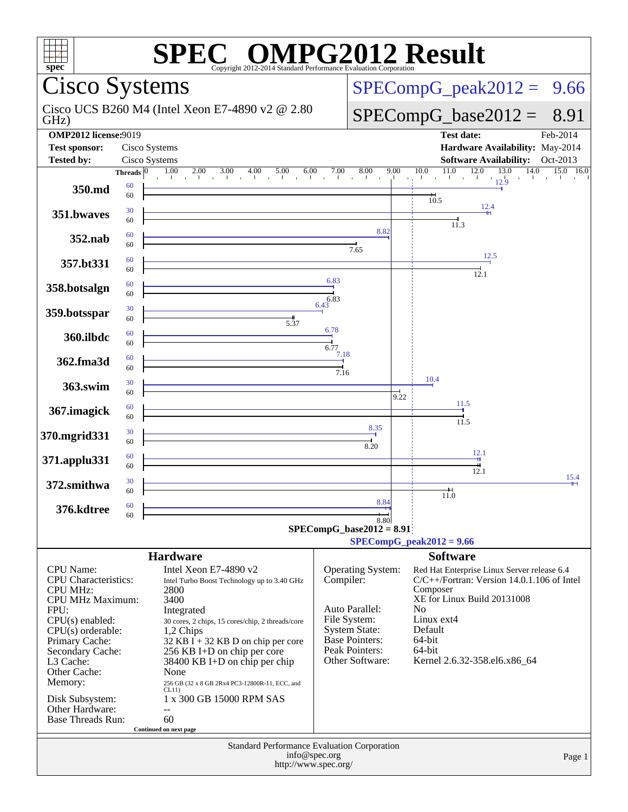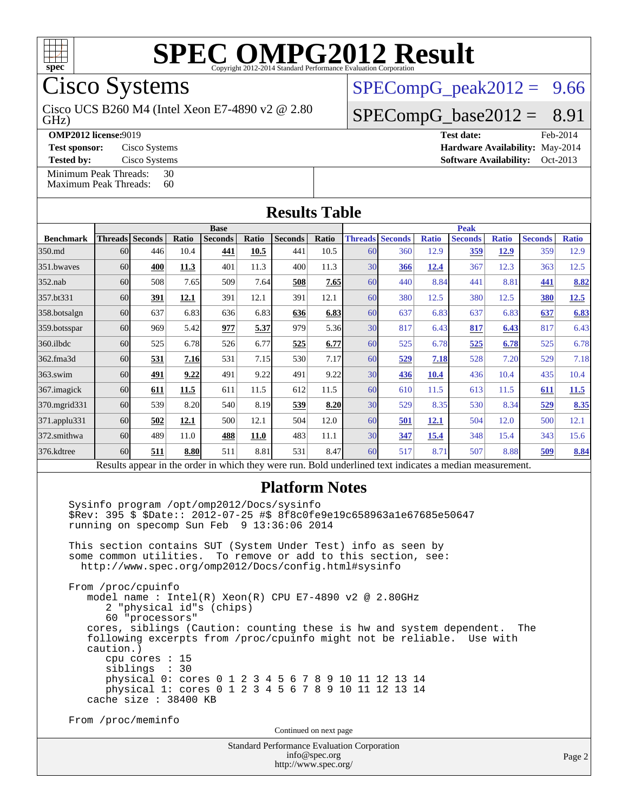

Cisco Systems

GHz) Cisco UCS B260 M4 (Intel Xeon E7-4890 v2 @ 2.80

**[OMP2012 license:](http://www.spec.org/auto/omp2012/Docs/result-fields.html#OMP2012license)**9019 **[Test date:](http://www.spec.org/auto/omp2012/Docs/result-fields.html#Testdate)** Feb-2014

**[Tested by:](http://www.spec.org/auto/omp2012/Docs/result-fields.html#Testedby)** Cisco Systems **[Software Availability:](http://www.spec.org/auto/omp2012/Docs/result-fields.html#SoftwareAvailability)** Oct-2013

[Minimum Peak Threads:](http://www.spec.org/auto/omp2012/Docs/result-fields.html#MinimumPeakThreads) 30<br>Maximum Peak Threads: 60

 $SPECompG_peak2012 = 9.66$  $SPECompG_peak2012 = 9.66$ 

 $SPECompG_base2012 = 8.91$  $SPECompG_base2012 = 8.91$ 

**[Test sponsor:](http://www.spec.org/auto/omp2012/Docs/result-fields.html#Testsponsor)** Cisco Systems **[Hardware Availability:](http://www.spec.org/auto/omp2012/Docs/result-fields.html#HardwareAvailability)** May-2014

[Maximum Peak Threads:](http://www.spec.org/auto/omp2012/Docs/result-fields.html#MaximumPeakThreads)

| <b>Results Table</b> |                                                                                                          |                          |       |                |       |                |             |    |                        |              |                |              |                |              |
|----------------------|----------------------------------------------------------------------------------------------------------|--------------------------|-------|----------------|-------|----------------|-------------|----|------------------------|--------------|----------------|--------------|----------------|--------------|
|                      | <b>Base</b>                                                                                              |                          |       |                |       |                | <b>Peak</b> |    |                        |              |                |              |                |              |
| <b>Benchmark</b>     |                                                                                                          | <b>Threads   Seconds</b> | Ratio | <b>Seconds</b> | Ratio | <b>Seconds</b> | Ratio       |    | <b>Threads Seconds</b> | <b>Ratio</b> | <b>Seconds</b> | <b>Ratio</b> | <b>Seconds</b> | <b>Ratio</b> |
| 350.md               | 60                                                                                                       | 446                      | 10.4  | 441            | 10.5  | 441            | 10.5        | 60 | 360                    | 12.9         | 359            | 12.9         | 359            | 12.9         |
| 351.bwayes           | 60                                                                                                       | 400                      | 11.3  | 401            | 11.3  | 400            | 11.3        | 30 | 366                    | 12.4         | 367            | 12.3         | 363            | 12.5         |
| $352$ .nab           | 60                                                                                                       | 508                      | 7.65  | 509            | 7.64  | 508            | 7.65        | 60 | 440                    | 8.84         | 441            | 8.81         | 441            | 8.82         |
| 357.bt331            | 60                                                                                                       | 391                      | 12.1  | 391            | 12.1  | 391            | 12.1        | 60 | 380                    | 12.5         | 380            | 12.5         | 380            | 12.5         |
| 358.botsalgn         | 60                                                                                                       | 637                      | 6.83  | 636            | 6.83  | 636            | 6.83        | 60 | 637                    | 6.83         | 637            | 6.83         | 637            | 6.83         |
| 359.botsspar         | 60                                                                                                       | 969                      | 5.42  | 977            | 5.37  | 979            | 5.36        | 30 | 817                    | 6.43         | 817            | 6.43         | 817            | 6.43         |
| 360.ilbdc            | 60                                                                                                       | 525                      | 6.78  | 526            | 6.77  | 525            | 6.77        | 60 | 525                    | 6.78         | 525            | 6.78         | 525            | 6.78         |
| 362.fma3d            | 60                                                                                                       | 531                      | 7.16  | 531            | 7.15  | 530            | 7.17        | 60 | 529                    | 7.18         | 528            | 7.20         | 529            | 7.18         |
| $363$ .swim          | 60                                                                                                       | 491                      | 9.22  | 491            | 9.22  | 491            | 9.22        | 30 | 436                    | 10.4         | 436            | 10.4         | 435            | 10.4         |
| 367. imagick         | 60                                                                                                       | 611                      | 11.5  | 611            | 11.5  | 612            | 11.5        | 60 | 610                    | 11.5         | 613            | 11.5         | 611            | 11.5         |
| 370.mgrid331         | 60                                                                                                       | 539                      | 8.20  | 540            | 8.19  | 539            | 8.20        | 30 | 529                    | 8.35         | 530            | 8.34         | 529            | 8.35         |
| 371.applu331         | 60                                                                                                       | 502                      | 12.1  | 500            | 12.1  | 504            | 12.0        | 60 | 501                    | 12.1         | 504            | 12.0         | 500            | 12.1         |
| 372.smithwa          | 60                                                                                                       | 489                      | 11.0  | 488            | 11.0  | 483            | 11.1        | 30 | 347                    | 15.4         | 348            | 15.4         | 343            | 15.6         |
| 376.kdtree           | 60                                                                                                       | 511                      | 8.80  | 511            | 8.81  | 531            | 8.47        | 60 | 517                    | 8.71         | 507            | 8.88         | 509            | 8.84         |
|                      | Results appear in the order in which they were run. Bold underlined text indicates a median measurement. |                          |       |                |       |                |             |    |                        |              |                |              |                |              |

#### **[Platform Notes](http://www.spec.org/auto/omp2012/Docs/result-fields.html#PlatformNotes)**

 Sysinfo program /opt/omp2012/Docs/sysinfo \$Rev: 395 \$ \$Date:: 2012-07-25 #\$ 8f8c0fe9e19c658963a1e67685e50647 running on specomp Sun Feb 9 13:36:06 2014

 This section contains SUT (System Under Test) info as seen by some common utilities. To remove or add to this section, see: <http://www.spec.org/omp2012/Docs/config.html#sysinfo>

 From /proc/cpuinfo model name : Intel(R) Xeon(R) CPU E7-4890 v2 @ 2.80GHz 2 "physical id"s (chips) 60 "processors" cores, siblings (Caution: counting these is hw and system dependent. The following excerpts from /proc/cpuinfo might not be reliable. Use with caution.) cpu cores : 15 siblings : 30 physical 0: cores 0 1 2 3 4 5 6 7 8 9 10 11 12 13 14 physical 1: cores 0 1 2 3 4 5 6 7 8 9 10 11 12 13 14 cache size : 38400 KB

From /proc/meminfo

Continued on next page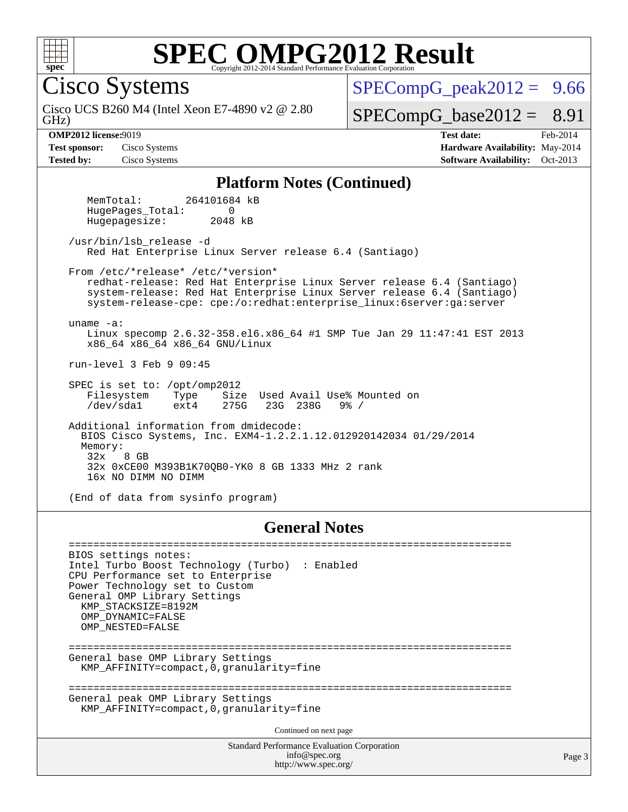

Cisco Systems

GHz) Cisco UCS B260 M4 (Intel Xeon E7-4890 v2 @ 2.80  $SPECompG<sub>peak2012</sub> = 9.66$ 

#### $SPECompG_base2012 = 8.91$  $SPECompG_base2012 = 8.91$

**[OMP2012 license:](http://www.spec.org/auto/omp2012/Docs/result-fields.html#OMP2012license)**9019 **[Test date:](http://www.spec.org/auto/omp2012/Docs/result-fields.html#Testdate)** Feb-2014 **[Test sponsor:](http://www.spec.org/auto/omp2012/Docs/result-fields.html#Testsponsor)** Cisco Systems **[Hardware Availability:](http://www.spec.org/auto/omp2012/Docs/result-fields.html#HardwareAvailability)** May-2014 **[Tested by:](http://www.spec.org/auto/omp2012/Docs/result-fields.html#Testedby)** Cisco Systems **[Software Availability:](http://www.spec.org/auto/omp2012/Docs/result-fields.html#SoftwareAvailability)** Oct-2013

#### **[Platform Notes \(Continued\)](http://www.spec.org/auto/omp2012/Docs/result-fields.html#PlatformNotes)**

 MemTotal: 264101684 kB HugePages\_Total: 0 Hugepagesize: 2048 kB

 /usr/bin/lsb\_release -d Red Hat Enterprise Linux Server release 6.4 (Santiago)

From /etc/\*release\* /etc/\*version\*

 redhat-release: Red Hat Enterprise Linux Server release 6.4 (Santiago) system-release: Red Hat Enterprise Linux Server release 6.4 (Santiago) system-release-cpe: cpe:/o:redhat:enterprise\_linux:6server:ga:server

uname -a:

 Linux specomp 2.6.32-358.el6.x86\_64 #1 SMP Tue Jan 29 11:47:41 EST 2013 x86\_64 x86\_64 x86\_64 GNU/Linux

run-level 3 Feb 9 09:45

SPEC is set to: /opt/omp2012<br>Filesystem Type Size Type Size Used Avail Use% Mounted on<br>ext4 275G 23G 238G 9% / /dev/sda1 ext4 275G 23G 238G 9% /

 Additional information from dmidecode: BIOS Cisco Systems, Inc. EXM4-1.2.2.1.12.012920142034 01/29/2014 Memory:<br>32x 8 GB 32x 0xCE00 M393B1K70QB0-YK0 8 GB 1333 MHz 2 rank 16x NO DIMM NO DIMM

(End of data from sysinfo program)

#### **[General Notes](http://www.spec.org/auto/omp2012/Docs/result-fields.html#GeneralNotes)**

Standard Performance Evaluation Corporation [info@spec.org](mailto:info@spec.org) ======================================================================== BIOS settings notes: Intel Turbo Boost Technology (Turbo) : Enabled CPU Performance set to Enterprise Power Technology set to Custom General OMP Library Settings KMP\_STACKSIZE=8192M OMP\_DYNAMIC=FALSE OMP\_NESTED=FALSE ======================================================================== General base OMP Library Settings KMP\_AFFINITY=compact,0,granularity=fine ======================================================================== General peak OMP Library Settings KMP\_AFFINITY=compact,0,granularity=fine Continued on next page

<http://www.spec.org/>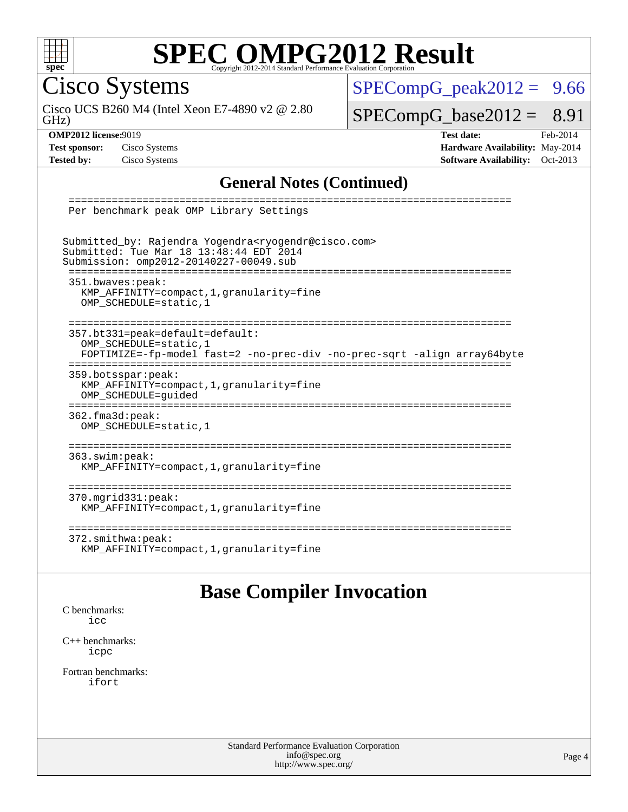

Cisco Systems

GHz) Cisco UCS B260 M4 (Intel Xeon E7-4890 v2 @ 2.80  $SPECompG_peak2012 = 9.66$  $SPECompG_peak2012 = 9.66$ 

 $SPECompG_base2012 = 8.91$  $SPECompG_base2012 = 8.91$ 

**[OMP2012 license:](http://www.spec.org/auto/omp2012/Docs/result-fields.html#OMP2012license)**9019 **[Test date:](http://www.spec.org/auto/omp2012/Docs/result-fields.html#Testdate)** Feb-2014 **[Test sponsor:](http://www.spec.org/auto/omp2012/Docs/result-fields.html#Testsponsor)** Cisco Systems **[Hardware Availability:](http://www.spec.org/auto/omp2012/Docs/result-fields.html#HardwareAvailability)** May-2014 **[Tested by:](http://www.spec.org/auto/omp2012/Docs/result-fields.html#Testedby)** Cisco Systems **[Software Availability:](http://www.spec.org/auto/omp2012/Docs/result-fields.html#SoftwareAvailability)** Oct-2013

#### **[General Notes \(Continued\)](http://www.spec.org/auto/omp2012/Docs/result-fields.html#GeneralNotes)**

| --------<br>Per benchmark peak OMP Library Settings                                                                                                                                             |
|-------------------------------------------------------------------------------------------------------------------------------------------------------------------------------------------------|
| Submitted_by: Rajendra Yogendra <ryogendr@cisco.com><br/>Submitted: Tue Mar 18 13:48:44 EDT 2014<br/>Submission: omp2012-20140227-00049.sub</ryogendr@cisco.com>                                |
| 351.bwaves:peak:<br>KMP AFFINITY=compact, 1, granularity=fine<br>OMP SCHEDULE=static, 1                                                                                                         |
| 357.bt331=peak=default=default:<br>OMP SCHEDULE=static, 1<br>FOPTIMIZE=-fp-model fast=2 -no-prec-div -no-prec-sqrt -align array64byte<br>-----------------------<br>--------------------------- |
| 359.botsspar: peak:<br>KMP_AFFINITY=compact, 1, granularity=fine<br>OMP SCHEDULE=quided                                                                                                         |
| 362.fma3d:peak:<br>OMP SCHEDULE=static, 1                                                                                                                                                       |
| $363.$ swim: $peak:$<br>KMP AFFINITY=compact, 1, granularity=fine                                                                                                                               |
| $370.\text{mgrid}331:\text{peak}:$<br>KMP AFFINITY=compact, 1, granularity=fine                                                                                                                 |
| ---------------------<br>$372.\text{smithwa:peak}:$<br>KMP_AFFINITY=compact, 1, granularity=fine                                                                                                |

### **[Base Compiler Invocation](http://www.spec.org/auto/omp2012/Docs/result-fields.html#BaseCompilerInvocation)**

[C benchmarks](http://www.spec.org/auto/omp2012/Docs/result-fields.html#Cbenchmarks): [icc](http://www.spec.org/omp2012/results/res2014q1/omp2012-20140227-00049.flags.html#user_CCbase_intel_icc_a87c68a857bc5ec5362391a49d3a37a6)

[C++ benchmarks:](http://www.spec.org/auto/omp2012/Docs/result-fields.html#CXXbenchmarks) [icpc](http://www.spec.org/omp2012/results/res2014q1/omp2012-20140227-00049.flags.html#user_CXXbase_intel_icpc_2d899f8d163502b12eb4a60069f80c1c)

[Fortran benchmarks](http://www.spec.org/auto/omp2012/Docs/result-fields.html#Fortranbenchmarks): [ifort](http://www.spec.org/omp2012/results/res2014q1/omp2012-20140227-00049.flags.html#user_FCbase_intel_ifort_8a5e5e06b19a251bdeaf8fdab5d62f20)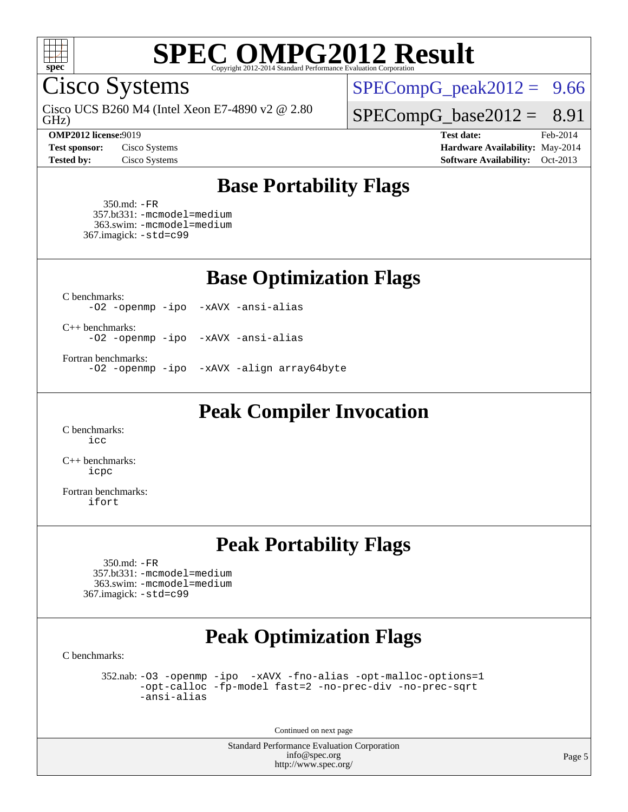

Cisco Systems

GHz) Cisco UCS B260 M4 (Intel Xeon E7-4890 v2 @ 2.80

 $SPECompG_peak2012 = 9.66$  $SPECompG_peak2012 = 9.66$ 

 $SPECompG_base2012 = 8.91$  $SPECompG_base2012 = 8.91$ 

**[OMP2012 license:](http://www.spec.org/auto/omp2012/Docs/result-fields.html#OMP2012license)**9019 **[Test date:](http://www.spec.org/auto/omp2012/Docs/result-fields.html#Testdate)** Feb-2014 **[Test sponsor:](http://www.spec.org/auto/omp2012/Docs/result-fields.html#Testsponsor)** Cisco Systems **[Hardware Availability:](http://www.spec.org/auto/omp2012/Docs/result-fields.html#HardwareAvailability)** May-2014 **[Tested by:](http://www.spec.org/auto/omp2012/Docs/result-fields.html#Testedby)** Cisco Systems **[Software Availability:](http://www.spec.org/auto/omp2012/Docs/result-fields.html#SoftwareAvailability)** Oct-2013

## **[Base Portability Flags](http://www.spec.org/auto/omp2012/Docs/result-fields.html#BasePortabilityFlags)**

 350.md: [-FR](http://www.spec.org/omp2012/results/res2014q1/omp2012-20140227-00049.flags.html#user_baseFPORTABILITY350_md_f-FR) 357.bt331: [-mcmodel=medium](http://www.spec.org/omp2012/results/res2014q1/omp2012-20140227-00049.flags.html#user_basePORTABILITY357_bt331_f-mcmodel_3a41622424bdd074c4f0f2d2f224c7e5) 363.swim: [-mcmodel=medium](http://www.spec.org/omp2012/results/res2014q1/omp2012-20140227-00049.flags.html#user_basePORTABILITY363_swim_f-mcmodel_3a41622424bdd074c4f0f2d2f224c7e5) 367.imagick: [-std=c99](http://www.spec.org/omp2012/results/res2014q1/omp2012-20140227-00049.flags.html#user_baseCPORTABILITY367_imagick_f-std_2ec6533b6e06f1c4a6c9b78d9e9cde24)

**[Base Optimization Flags](http://www.spec.org/auto/omp2012/Docs/result-fields.html#BaseOptimizationFlags)**

[C benchmarks](http://www.spec.org/auto/omp2012/Docs/result-fields.html#Cbenchmarks):

[-O2](http://www.spec.org/omp2012/results/res2014q1/omp2012-20140227-00049.flags.html#user_CCbase_f-O2) [-openmp](http://www.spec.org/omp2012/results/res2014q1/omp2012-20140227-00049.flags.html#user_CCbase_f-openmp) [-ipo](http://www.spec.org/omp2012/results/res2014q1/omp2012-20140227-00049.flags.html#user_CCbase_f-ipo_84062ab53814f613187d02344b8f49a7) [-xAVX](http://www.spec.org/omp2012/results/res2014q1/omp2012-20140227-00049.flags.html#user_CCbase_f-xAVX) [-ansi-alias](http://www.spec.org/omp2012/results/res2014q1/omp2012-20140227-00049.flags.html#user_CCbase_f-ansi-alias)

[C++ benchmarks:](http://www.spec.org/auto/omp2012/Docs/result-fields.html#CXXbenchmarks)

[-O2](http://www.spec.org/omp2012/results/res2014q1/omp2012-20140227-00049.flags.html#user_CXXbase_f-O2) [-openmp](http://www.spec.org/omp2012/results/res2014q1/omp2012-20140227-00049.flags.html#user_CXXbase_f-openmp) [-ipo](http://www.spec.org/omp2012/results/res2014q1/omp2012-20140227-00049.flags.html#user_CXXbase_f-ipo_84062ab53814f613187d02344b8f49a7) [-xAVX](http://www.spec.org/omp2012/results/res2014q1/omp2012-20140227-00049.flags.html#user_CXXbase_f-xAVX) [-ansi-alias](http://www.spec.org/omp2012/results/res2014q1/omp2012-20140227-00049.flags.html#user_CXXbase_f-ansi-alias)

[Fortran benchmarks](http://www.spec.org/auto/omp2012/Docs/result-fields.html#Fortranbenchmarks):

[-O2](http://www.spec.org/omp2012/results/res2014q1/omp2012-20140227-00049.flags.html#user_FCbase_f-O2) [-openmp](http://www.spec.org/omp2012/results/res2014q1/omp2012-20140227-00049.flags.html#user_FCbase_f-openmp) [-ipo](http://www.spec.org/omp2012/results/res2014q1/omp2012-20140227-00049.flags.html#user_FCbase_f-ipo_84062ab53814f613187d02344b8f49a7) [-xAVX](http://www.spec.org/omp2012/results/res2014q1/omp2012-20140227-00049.flags.html#user_FCbase_f-xAVX) [-align array64byte](http://www.spec.org/omp2012/results/res2014q1/omp2012-20140227-00049.flags.html#user_FCbase_f-align_c9377f996e966d652baaf753401d4725)

**[Peak Compiler Invocation](http://www.spec.org/auto/omp2012/Docs/result-fields.html#PeakCompilerInvocation)**

[C benchmarks](http://www.spec.org/auto/omp2012/Docs/result-fields.html#Cbenchmarks): [icc](http://www.spec.org/omp2012/results/res2014q1/omp2012-20140227-00049.flags.html#user_CCpeak_intel_icc_a87c68a857bc5ec5362391a49d3a37a6)

[C++ benchmarks:](http://www.spec.org/auto/omp2012/Docs/result-fields.html#CXXbenchmarks) [icpc](http://www.spec.org/omp2012/results/res2014q1/omp2012-20140227-00049.flags.html#user_CXXpeak_intel_icpc_2d899f8d163502b12eb4a60069f80c1c)

[Fortran benchmarks](http://www.spec.org/auto/omp2012/Docs/result-fields.html#Fortranbenchmarks): [ifort](http://www.spec.org/omp2012/results/res2014q1/omp2012-20140227-00049.flags.html#user_FCpeak_intel_ifort_8a5e5e06b19a251bdeaf8fdab5d62f20)

## **[Peak Portability Flags](http://www.spec.org/auto/omp2012/Docs/result-fields.html#PeakPortabilityFlags)**

 350.md: [-FR](http://www.spec.org/omp2012/results/res2014q1/omp2012-20140227-00049.flags.html#user_peakFPORTABILITY350_md_f-FR) 357.bt331: [-mcmodel=medium](http://www.spec.org/omp2012/results/res2014q1/omp2012-20140227-00049.flags.html#user_peakPORTABILITY357_bt331_f-mcmodel_3a41622424bdd074c4f0f2d2f224c7e5) 363.swim: [-mcmodel=medium](http://www.spec.org/omp2012/results/res2014q1/omp2012-20140227-00049.flags.html#user_peakPORTABILITY363_swim_f-mcmodel_3a41622424bdd074c4f0f2d2f224c7e5) 367.imagick: [-std=c99](http://www.spec.org/omp2012/results/res2014q1/omp2012-20140227-00049.flags.html#user_peakCPORTABILITY367_imagick_f-std_2ec6533b6e06f1c4a6c9b78d9e9cde24)

## **[Peak Optimization Flags](http://www.spec.org/auto/omp2012/Docs/result-fields.html#PeakOptimizationFlags)**

[C benchmarks](http://www.spec.org/auto/omp2012/Docs/result-fields.html#Cbenchmarks):

 352.nab: [-O3](http://www.spec.org/omp2012/results/res2014q1/omp2012-20140227-00049.flags.html#user_peakOPTIMIZE352_nab_f-O3) [-openmp](http://www.spec.org/omp2012/results/res2014q1/omp2012-20140227-00049.flags.html#user_peakOPTIMIZE352_nab_f-openmp) [-ipo](http://www.spec.org/omp2012/results/res2014q1/omp2012-20140227-00049.flags.html#user_peakOPTIMIZE352_nab_f-ipo_84062ab53814f613187d02344b8f49a7) [-xAVX](http://www.spec.org/omp2012/results/res2014q1/omp2012-20140227-00049.flags.html#user_peakOPTIMIZE352_nab_f-xAVX) [-fno-alias](http://www.spec.org/omp2012/results/res2014q1/omp2012-20140227-00049.flags.html#user_peakOPTIMIZE352_nab_f-no-alias_694e77f6c5a51e658e82ccff53a9e63a) [-opt-malloc-options=1](http://www.spec.org/omp2012/results/res2014q1/omp2012-20140227-00049.flags.html#user_peakOPTIMIZE352_nab_f-opt-malloc-options_d882ffc6ff87e51efe45f9a5190004b0) [-opt-calloc](http://www.spec.org/omp2012/results/res2014q1/omp2012-20140227-00049.flags.html#user_peakOPTIMIZE352_nab_f-opt-calloc) [-fp-model fast=2](http://www.spec.org/omp2012/results/res2014q1/omp2012-20140227-00049.flags.html#user_peakOPTIMIZE352_nab_f-fp-model_a7fb8ccb7275e23f0079632c153cfcab) [-no-prec-div](http://www.spec.org/omp2012/results/res2014q1/omp2012-20140227-00049.flags.html#user_peakOPTIMIZE352_nab_f-no-prec-div) [-no-prec-sqrt](http://www.spec.org/omp2012/results/res2014q1/omp2012-20140227-00049.flags.html#user_peakOPTIMIZE352_nab_f-no-prec-sqrt) [-ansi-alias](http://www.spec.org/omp2012/results/res2014q1/omp2012-20140227-00049.flags.html#user_peakCOPTIMIZE352_nab_f-ansi-alias)

Continued on next page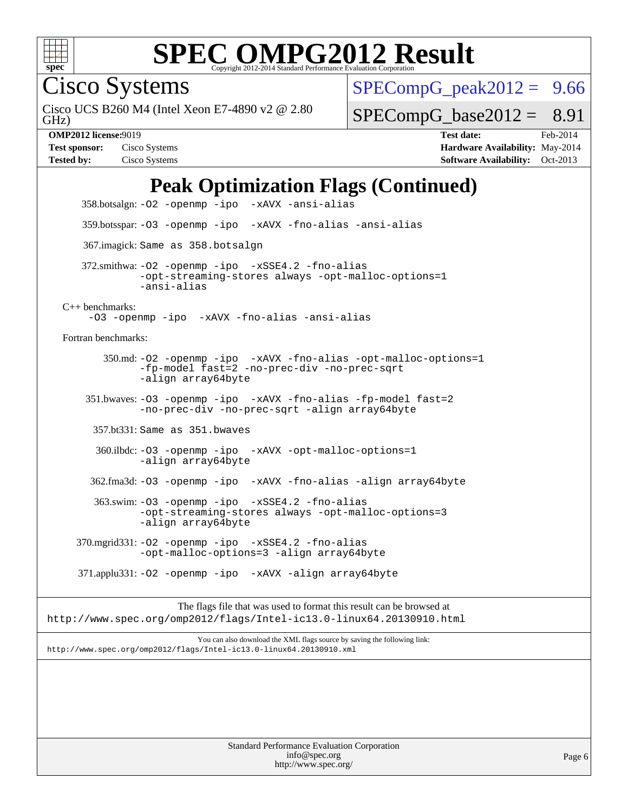

Cisco Systems

GHz) Cisco UCS B260 M4 (Intel Xeon E7-4890 v2 @ 2.80  $SPECompG_peak2012 = 9.66$  $SPECompG_peak2012 = 9.66$ 

 $SPECompG_base2012 = 8.91$  $SPECompG_base2012 = 8.91$ 

**[OMP2012 license:](http://www.spec.org/auto/omp2012/Docs/result-fields.html#OMP2012license)**9019 **[Test date:](http://www.spec.org/auto/omp2012/Docs/result-fields.html#Testdate)** Feb-2014 **[Test sponsor:](http://www.spec.org/auto/omp2012/Docs/result-fields.html#Testsponsor)** Cisco Systems **[Hardware Availability:](http://www.spec.org/auto/omp2012/Docs/result-fields.html#HardwareAvailability)** May-2014 **[Tested by:](http://www.spec.org/auto/omp2012/Docs/result-fields.html#Testedby)** Cisco Systems **[Software Availability:](http://www.spec.org/auto/omp2012/Docs/result-fields.html#SoftwareAvailability)** Oct-2013

## **[Peak Optimization Flags \(Continued\)](http://www.spec.org/auto/omp2012/Docs/result-fields.html#PeakOptimizationFlags)**

 358.botsalgn: [-O2](http://www.spec.org/omp2012/results/res2014q1/omp2012-20140227-00049.flags.html#user_peakOPTIMIZE358_botsalgn_f-O2) [-openmp](http://www.spec.org/omp2012/results/res2014q1/omp2012-20140227-00049.flags.html#user_peakOPTIMIZE358_botsalgn_f-openmp) [-ipo](http://www.spec.org/omp2012/results/res2014q1/omp2012-20140227-00049.flags.html#user_peakOPTIMIZE358_botsalgn_f-ipo_84062ab53814f613187d02344b8f49a7) [-xAVX](http://www.spec.org/omp2012/results/res2014q1/omp2012-20140227-00049.flags.html#user_peakOPTIMIZE358_botsalgn_f-xAVX) [-ansi-alias](http://www.spec.org/omp2012/results/res2014q1/omp2012-20140227-00049.flags.html#user_peakCOPTIMIZE358_botsalgn_f-ansi-alias) 359.botsspar: [-O3](http://www.spec.org/omp2012/results/res2014q1/omp2012-20140227-00049.flags.html#user_peakOPTIMIZE359_botsspar_f-O3) [-openmp](http://www.spec.org/omp2012/results/res2014q1/omp2012-20140227-00049.flags.html#user_peakOPTIMIZE359_botsspar_f-openmp) [-ipo](http://www.spec.org/omp2012/results/res2014q1/omp2012-20140227-00049.flags.html#user_peakOPTIMIZE359_botsspar_f-ipo_84062ab53814f613187d02344b8f49a7) [-xAVX](http://www.spec.org/omp2012/results/res2014q1/omp2012-20140227-00049.flags.html#user_peakOPTIMIZE359_botsspar_f-xAVX) [-fno-alias](http://www.spec.org/omp2012/results/res2014q1/omp2012-20140227-00049.flags.html#user_peakOPTIMIZE359_botsspar_f-no-alias_694e77f6c5a51e658e82ccff53a9e63a) [-ansi-alias](http://www.spec.org/omp2012/results/res2014q1/omp2012-20140227-00049.flags.html#user_peakCOPTIMIZE359_botsspar_f-ansi-alias) 367.imagick: Same as 358.botsalgn 372.smithwa: [-O2](http://www.spec.org/omp2012/results/res2014q1/omp2012-20140227-00049.flags.html#user_peakOPTIMIZE372_smithwa_f-O2) [-openmp](http://www.spec.org/omp2012/results/res2014q1/omp2012-20140227-00049.flags.html#user_peakOPTIMIZE372_smithwa_f-openmp) [-ipo](http://www.spec.org/omp2012/results/res2014q1/omp2012-20140227-00049.flags.html#user_peakOPTIMIZE372_smithwa_f-ipo_84062ab53814f613187d02344b8f49a7) [-xSSE4.2](http://www.spec.org/omp2012/results/res2014q1/omp2012-20140227-00049.flags.html#user_peakOPTIMIZE372_smithwa_f-xSSE42_f91528193cf0b216347adb8b939d4107) [-fno-alias](http://www.spec.org/omp2012/results/res2014q1/omp2012-20140227-00049.flags.html#user_peakOPTIMIZE372_smithwa_f-no-alias_694e77f6c5a51e658e82ccff53a9e63a) [-opt-streaming-stores always](http://www.spec.org/omp2012/results/res2014q1/omp2012-20140227-00049.flags.html#user_peakOPTIMIZE372_smithwa_f-opt-streaming-stores-always_66f55dbc532842151ebc4c82f4f5b019) [-opt-malloc-options=1](http://www.spec.org/omp2012/results/res2014q1/omp2012-20140227-00049.flags.html#user_peakOPTIMIZE372_smithwa_f-opt-malloc-options_d882ffc6ff87e51efe45f9a5190004b0) [-ansi-alias](http://www.spec.org/omp2012/results/res2014q1/omp2012-20140227-00049.flags.html#user_peakCOPTIMIZE372_smithwa_f-ansi-alias) [C++ benchmarks:](http://www.spec.org/auto/omp2012/Docs/result-fields.html#CXXbenchmarks) [-O3](http://www.spec.org/omp2012/results/res2014q1/omp2012-20140227-00049.flags.html#user_CXXpeak_f-O3) [-openmp](http://www.spec.org/omp2012/results/res2014q1/omp2012-20140227-00049.flags.html#user_CXXpeak_f-openmp) [-ipo](http://www.spec.org/omp2012/results/res2014q1/omp2012-20140227-00049.flags.html#user_CXXpeak_f-ipo_84062ab53814f613187d02344b8f49a7) [-xAVX](http://www.spec.org/omp2012/results/res2014q1/omp2012-20140227-00049.flags.html#user_CXXpeak_f-xAVX) [-fno-alias](http://www.spec.org/omp2012/results/res2014q1/omp2012-20140227-00049.flags.html#user_CXXpeak_f-no-alias_694e77f6c5a51e658e82ccff53a9e63a) [-ansi-alias](http://www.spec.org/omp2012/results/res2014q1/omp2012-20140227-00049.flags.html#user_CXXpeak_f-ansi-alias) [Fortran benchmarks](http://www.spec.org/auto/omp2012/Docs/result-fields.html#Fortranbenchmarks): 350.md: [-O2](http://www.spec.org/omp2012/results/res2014q1/omp2012-20140227-00049.flags.html#user_peakOPTIMIZE350_md_f-O2) [-openmp](http://www.spec.org/omp2012/results/res2014q1/omp2012-20140227-00049.flags.html#user_peakOPTIMIZE350_md_f-openmp) [-ipo](http://www.spec.org/omp2012/results/res2014q1/omp2012-20140227-00049.flags.html#user_peakOPTIMIZE350_md_f-ipo_84062ab53814f613187d02344b8f49a7) [-xAVX](http://www.spec.org/omp2012/results/res2014q1/omp2012-20140227-00049.flags.html#user_peakOPTIMIZE350_md_f-xAVX) [-fno-alias](http://www.spec.org/omp2012/results/res2014q1/omp2012-20140227-00049.flags.html#user_peakOPTIMIZE350_md_f-no-alias_694e77f6c5a51e658e82ccff53a9e63a) [-opt-malloc-options=1](http://www.spec.org/omp2012/results/res2014q1/omp2012-20140227-00049.flags.html#user_peakOPTIMIZE350_md_f-opt-malloc-options_d882ffc6ff87e51efe45f9a5190004b0) [-fp-model fast=2](http://www.spec.org/omp2012/results/res2014q1/omp2012-20140227-00049.flags.html#user_peakFOPTIMIZE350_md_f-fp-model_a7fb8ccb7275e23f0079632c153cfcab) [-no-prec-div](http://www.spec.org/omp2012/results/res2014q1/omp2012-20140227-00049.flags.html#user_peakFOPTIMIZE350_md_f-no-prec-div) [-no-prec-sqrt](http://www.spec.org/omp2012/results/res2014q1/omp2012-20140227-00049.flags.html#user_peakFOPTIMIZE350_md_f-no-prec-sqrt) [-align array64byte](http://www.spec.org/omp2012/results/res2014q1/omp2012-20140227-00049.flags.html#user_peakFOPTIMIZE350_md_f-align_c9377f996e966d652baaf753401d4725) 351.bwaves: [-O3](http://www.spec.org/omp2012/results/res2014q1/omp2012-20140227-00049.flags.html#user_peakOPTIMIZE351_bwaves_f-O3) [-openmp](http://www.spec.org/omp2012/results/res2014q1/omp2012-20140227-00049.flags.html#user_peakOPTIMIZE351_bwaves_f-openmp) [-ipo](http://www.spec.org/omp2012/results/res2014q1/omp2012-20140227-00049.flags.html#user_peakOPTIMIZE351_bwaves_f-ipo_84062ab53814f613187d02344b8f49a7) [-xAVX](http://www.spec.org/omp2012/results/res2014q1/omp2012-20140227-00049.flags.html#user_peakOPTIMIZE351_bwaves_f-xAVX) [-fno-alias](http://www.spec.org/omp2012/results/res2014q1/omp2012-20140227-00049.flags.html#user_peakOPTIMIZE351_bwaves_f-no-alias_694e77f6c5a51e658e82ccff53a9e63a) [-fp-model fast=2](http://www.spec.org/omp2012/results/res2014q1/omp2012-20140227-00049.flags.html#user_peakFOPTIMIZE351_bwaves_f-fp-model_a7fb8ccb7275e23f0079632c153cfcab) [-no-prec-div](http://www.spec.org/omp2012/results/res2014q1/omp2012-20140227-00049.flags.html#user_peakFOPTIMIZE351_bwaves_f-no-prec-div) [-no-prec-sqrt](http://www.spec.org/omp2012/results/res2014q1/omp2012-20140227-00049.flags.html#user_peakFOPTIMIZE351_bwaves_f-no-prec-sqrt) [-align array64byte](http://www.spec.org/omp2012/results/res2014q1/omp2012-20140227-00049.flags.html#user_peakFOPTIMIZE351_bwaves_f-align_c9377f996e966d652baaf753401d4725) 357.bt331: Same as 351.bwaves 360.ilbdc: [-O3](http://www.spec.org/omp2012/results/res2014q1/omp2012-20140227-00049.flags.html#user_peakOPTIMIZE360_ilbdc_f-O3) [-openmp](http://www.spec.org/omp2012/results/res2014q1/omp2012-20140227-00049.flags.html#user_peakOPTIMIZE360_ilbdc_f-openmp) [-ipo](http://www.spec.org/omp2012/results/res2014q1/omp2012-20140227-00049.flags.html#user_peakOPTIMIZE360_ilbdc_f-ipo_84062ab53814f613187d02344b8f49a7) [-xAVX](http://www.spec.org/omp2012/results/res2014q1/omp2012-20140227-00049.flags.html#user_peakOPTIMIZE360_ilbdc_f-xAVX) [-opt-malloc-options=1](http://www.spec.org/omp2012/results/res2014q1/omp2012-20140227-00049.flags.html#user_peakOPTIMIZE360_ilbdc_f-opt-malloc-options_d882ffc6ff87e51efe45f9a5190004b0) [-align array64byte](http://www.spec.org/omp2012/results/res2014q1/omp2012-20140227-00049.flags.html#user_peakFOPTIMIZE360_ilbdc_f-align_c9377f996e966d652baaf753401d4725) 362.fma3d: [-O3](http://www.spec.org/omp2012/results/res2014q1/omp2012-20140227-00049.flags.html#user_peakOPTIMIZE362_fma3d_f-O3) [-openmp](http://www.spec.org/omp2012/results/res2014q1/omp2012-20140227-00049.flags.html#user_peakOPTIMIZE362_fma3d_f-openmp) [-ipo](http://www.spec.org/omp2012/results/res2014q1/omp2012-20140227-00049.flags.html#user_peakOPTIMIZE362_fma3d_f-ipo_84062ab53814f613187d02344b8f49a7) [-xAVX](http://www.spec.org/omp2012/results/res2014q1/omp2012-20140227-00049.flags.html#user_peakOPTIMIZE362_fma3d_f-xAVX) [-fno-alias](http://www.spec.org/omp2012/results/res2014q1/omp2012-20140227-00049.flags.html#user_peakOPTIMIZE362_fma3d_f-no-alias_694e77f6c5a51e658e82ccff53a9e63a) [-align array64byte](http://www.spec.org/omp2012/results/res2014q1/omp2012-20140227-00049.flags.html#user_peakFOPTIMIZE362_fma3d_f-align_c9377f996e966d652baaf753401d4725) 363.swim: [-O3](http://www.spec.org/omp2012/results/res2014q1/omp2012-20140227-00049.flags.html#user_peakOPTIMIZE363_swim_f-O3) [-openmp](http://www.spec.org/omp2012/results/res2014q1/omp2012-20140227-00049.flags.html#user_peakOPTIMIZE363_swim_f-openmp) [-ipo](http://www.spec.org/omp2012/results/res2014q1/omp2012-20140227-00049.flags.html#user_peakOPTIMIZE363_swim_f-ipo_84062ab53814f613187d02344b8f49a7) [-xSSE4.2](http://www.spec.org/omp2012/results/res2014q1/omp2012-20140227-00049.flags.html#user_peakOPTIMIZE363_swim_f-xSSE42_f91528193cf0b216347adb8b939d4107) [-fno-alias](http://www.spec.org/omp2012/results/res2014q1/omp2012-20140227-00049.flags.html#user_peakOPTIMIZE363_swim_f-no-alias_694e77f6c5a51e658e82ccff53a9e63a) [-opt-streaming-stores always](http://www.spec.org/omp2012/results/res2014q1/omp2012-20140227-00049.flags.html#user_peakOPTIMIZE363_swim_f-opt-streaming-stores-always_66f55dbc532842151ebc4c82f4f5b019) [-opt-malloc-options=3](http://www.spec.org/omp2012/results/res2014q1/omp2012-20140227-00049.flags.html#user_peakOPTIMIZE363_swim_f-opt-malloc-options_13ab9b803cf986b4ee62f0a5998c2238) [-align array64byte](http://www.spec.org/omp2012/results/res2014q1/omp2012-20140227-00049.flags.html#user_peakFOPTIMIZE363_swim_f-align_c9377f996e966d652baaf753401d4725) 370.mgrid331: [-O2](http://www.spec.org/omp2012/results/res2014q1/omp2012-20140227-00049.flags.html#user_peakOPTIMIZE370_mgrid331_f-O2) [-openmp](http://www.spec.org/omp2012/results/res2014q1/omp2012-20140227-00049.flags.html#user_peakOPTIMIZE370_mgrid331_f-openmp) [-ipo](http://www.spec.org/omp2012/results/res2014q1/omp2012-20140227-00049.flags.html#user_peakOPTIMIZE370_mgrid331_f-ipo_84062ab53814f613187d02344b8f49a7) [-xSSE4.2](http://www.spec.org/omp2012/results/res2014q1/omp2012-20140227-00049.flags.html#user_peakOPTIMIZE370_mgrid331_f-xSSE42_f91528193cf0b216347adb8b939d4107) [-fno-alias](http://www.spec.org/omp2012/results/res2014q1/omp2012-20140227-00049.flags.html#user_peakOPTIMIZE370_mgrid331_f-no-alias_694e77f6c5a51e658e82ccff53a9e63a) [-opt-malloc-options=3](http://www.spec.org/omp2012/results/res2014q1/omp2012-20140227-00049.flags.html#user_peakOPTIMIZE370_mgrid331_f-opt-malloc-options_13ab9b803cf986b4ee62f0a5998c2238) [-align array64byte](http://www.spec.org/omp2012/results/res2014q1/omp2012-20140227-00049.flags.html#user_peakFOPTIMIZE370_mgrid331_f-align_c9377f996e966d652baaf753401d4725) 371.applu331: [-O2](http://www.spec.org/omp2012/results/res2014q1/omp2012-20140227-00049.flags.html#user_peakOPTIMIZE371_applu331_f-O2) [-openmp](http://www.spec.org/omp2012/results/res2014q1/omp2012-20140227-00049.flags.html#user_peakOPTIMIZE371_applu331_f-openmp) [-ipo](http://www.spec.org/omp2012/results/res2014q1/omp2012-20140227-00049.flags.html#user_peakOPTIMIZE371_applu331_f-ipo_84062ab53814f613187d02344b8f49a7) [-xAVX](http://www.spec.org/omp2012/results/res2014q1/omp2012-20140227-00049.flags.html#user_peakOPTIMIZE371_applu331_f-xAVX) [-align array64byte](http://www.spec.org/omp2012/results/res2014q1/omp2012-20140227-00049.flags.html#user_peakFOPTIMIZE371_applu331_f-align_c9377f996e966d652baaf753401d4725) The flags file that was used to format this result can be browsed at <http://www.spec.org/omp2012/flags/Intel-ic13.0-linux64.20130910.html> You can also download the XML flags source by saving the following link: <http://www.spec.org/omp2012/flags/Intel-ic13.0-linux64.20130910.xml>